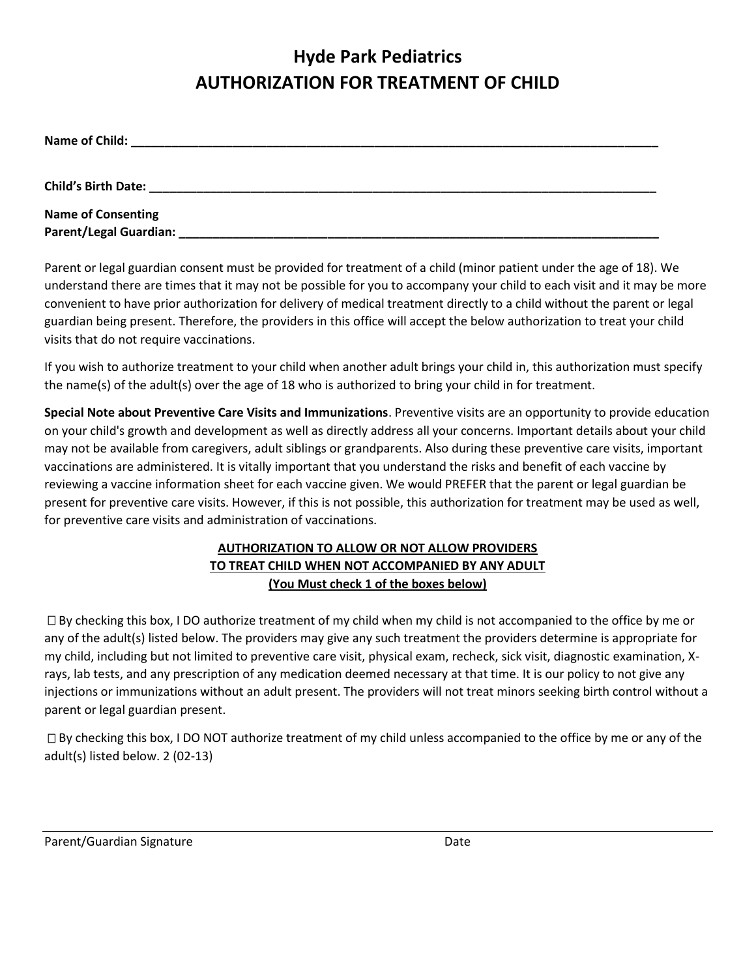## **Hyde Park Pediatrics AUTHORIZATION FOR TREATMENT OF CHILD**

| Name of Child:            |  |  |
|---------------------------|--|--|
| Child's Birth Date:       |  |  |
| <b>Name of Consenting</b> |  |  |
| Parent/Legal Guardian:    |  |  |

Parent or legal guardian consent must be provided for treatment of a child (minor patient under the age of 18). We understand there are times that it may not be possible for you to accompany your child to each visit and it may be more convenient to have prior authorization for delivery of medical treatment directly to a child without the parent or legal guardian being present. Therefore, the providers in this office will accept the below authorization to treat your child visits that do not require vaccinations.

If you wish to authorize treatment to your child when another adult brings your child in, this authorization must specify the name(s) of the adult(s) over the age of 18 who is authorized to bring your child in for treatment.

**Special Note about Preventive Care Visits and Immunizations**. Preventive visits are an opportunity to provide education on your child's growth and development as well as directly address all your concerns. Important details about your child may not be available from caregivers, adult siblings or grandparents. Also during these preventive care visits, important vaccinations are administered. It is vitally important that you understand the risks and benefit of each vaccine by reviewing a vaccine information sheet for each vaccine given. We would PREFER that the parent or legal guardian be present for preventive care visits. However, if this is not possible, this authorization for treatment may be used as well, for preventive care visits and administration of vaccinations.

## **AUTHORIZATION TO ALLOW OR NOT ALLOW PROVIDERS TO TREAT CHILD WHEN NOT ACCOMPANIED BY ANY ADULT (You Must check 1 of the boxes below)**

 $\Box$  By checking this box, I DO authorize treatment of my child when my child is not accompanied to the office by me or any of the adult(s) listed below. The providers may give any such treatment the providers determine is appropriate for my child, including but not limited to preventive care visit, physical exam, recheck, sick visit, diagnostic examination, Xrays, lab tests, and any prescription of any medication deemed necessary at that time. It is our policy to not give any injections or immunizations without an adult present. The providers will not treat minors seeking birth control without a parent or legal guardian present.

 $\Box$  By checking this box, I DO NOT authorize treatment of my child unless accompanied to the office by me or any of the adult(s) listed below. 2 (02-13)

Parent/Guardian Signature Date Date